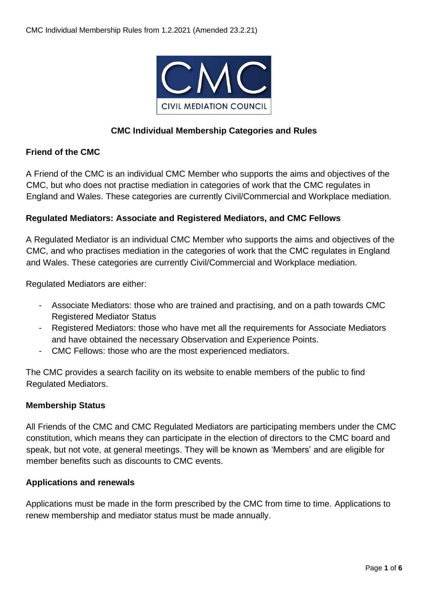

## **CMC Individual Membership Categories and Rules**

### **Friend of the CMC**

A Friend of the CMC is an individual CMC Member who supports the aims and objectives of the CMC, but who does not practise mediation in categories of work that the CMC regulates in England and Wales. These categories are currently Civil/Commercial and Workplace mediation.

### **Regulated Mediators: Associate and Registered Mediators, and CMC Fellows**

A Regulated Mediator is an individual CMC Member who supports the aims and objectives of the CMC, and who practises mediation in the categories of work that the CMC regulates in England and Wales. These categories are currently Civil/Commercial and Workplace mediation.

Regulated Mediators are either:

- Associate Mediators: those who are trained and practising, and on a path towards CMC Registered Mediator Status
- Registered Mediators: those who have met all the requirements for Associate Mediators and have obtained the necessary Observation and Experience Points.
- CMC Fellows: those who are the most experienced mediators.

The CMC provides a search facility on its website to enable members of the public to find Regulated Mediators.

### **Membership Status**

All Friends of the CMC and CMC Regulated Mediators are participating members under the CMC constitution, which means they can participate in the election of directors to the CMC board and speak, but not vote, at general meetings. They will be known as 'Members' and are eligible for member benefits such as discounts to CMC events.

### **Applications and renewals**

Applications must be made in the form prescribed by the CMC from time to time. Applications to renew membership and mediator status must be made annually.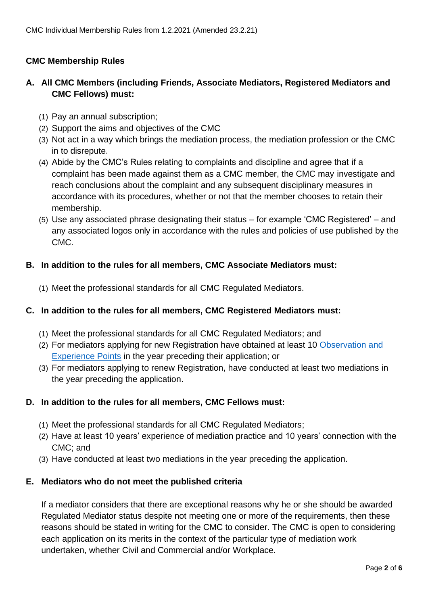## **CMC Membership Rules**

# **A. All CMC Members (including Friends, Associate Mediators, Registered Mediators and CMC Fellows) must:**

- (1) Pay an annual subscription;
- (2) Support the aims and objectives of the CMC
- (3) Not act in a way which brings the mediation process, the mediation profession or the CMC in to disrepute.
- (4) Abide by the CMC's Rules relating to complaints and discipline and agree that if a complaint has been made against them as a CMC member, the CMC may investigate and reach conclusions about the complaint and any subsequent disciplinary measures in accordance with its procedures, whether or not that the member chooses to retain their membership.
- (5) Use any associated phrase designating their status for example 'CMC Registered' and any associated logos only in accordance with the rules and policies of use published by the CMC.

### **B. In addition to the rules for all members, CMC Associate Mediators must:**

(1) Meet the professional standards for all CMC Regulated Mediators.

#### **C. In addition to the rules for all members, CMC Registered Mediators must:**

- (1) Meet the professional standards for all CMC Regulated Mediators; and
- (2) For mediators applying for new Registration have obtained at least 10 [Observation](https://civilmediation.org/wp-content/uploads/2022/05/CMC-Observation-Experience-Points-27.5.22.pdf) and [Experience Points](https://civilmediation.org/wp-content/uploads/2022/05/CMC-Observation-Experience-Points-27.5.22.pdf) in the year preceding their application; or
- (3) For mediators applying to renew Registration, have conducted at least two mediations in the year preceding the application.

### **D. In addition to the rules for all members, CMC Fellows must:**

- (1) Meet the professional standards for all CMC Regulated Mediators;
- (2) Have at least 10 years' experience of mediation practice and 10 years' connection with the CMC; and
- (3) Have conducted at least two mediations in the year preceding the application.

#### **E. Mediators who do not meet the published criteria**

If a mediator considers that there are exceptional reasons why he or she should be awarded Regulated Mediator status despite not meeting one or more of the requirements, then these reasons should be stated in writing for the CMC to consider. The CMC is open to considering each application on its merits in the context of the particular type of mediation work undertaken, whether Civil and Commercial and/or Workplace.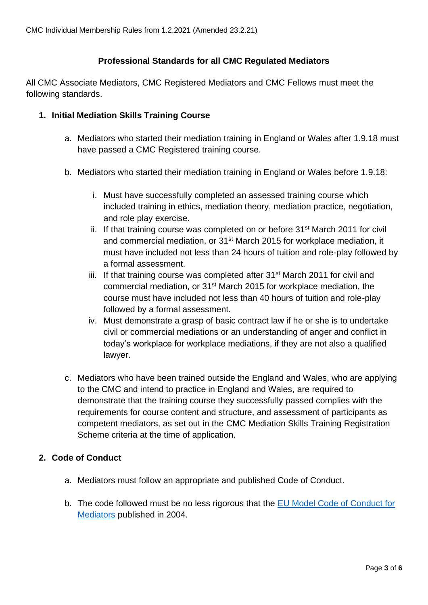## **Professional Standards for all CMC Regulated Mediators**

All CMC Associate Mediators, CMC Registered Mediators and CMC Fellows must meet the following standards.

## **1. Initial Mediation Skills Training Course**

- a. Mediators who started their mediation training in England or Wales after 1.9.18 must have passed a CMC Registered training course.
- b. Mediators who started their mediation training in England or Wales before 1.9.18:
	- i. Must have successfully completed an assessed training course which included training in ethics, mediation theory, mediation practice, negotiation, and role play exercise.
	- ii. If that training course was completed on or before  $31<sup>st</sup>$  March 2011 for civil and commercial mediation, or 31st March 2015 for workplace mediation, it must have included not less than 24 hours of tuition and role-play followed by a formal assessment.
	- iii. If that training course was completed after 31<sup>st</sup> March 2011 for civil and commercial mediation, or 31st March 2015 for workplace mediation, the course must have included not less than 40 hours of tuition and role-play followed by a formal assessment.
	- iv. Must demonstrate a grasp of basic contract law if he or she is to undertake civil or commercial mediations or an understanding of anger and conflict in today's workplace for workplace mediations, if they are not also a qualified lawyer.
- c. Mediators who have been trained outside the England and Wales, who are applying to the CMC and intend to practice in England and Wales, are required to demonstrate that the training course they successfully passed complies with the requirements for course content and structure, and assessment of participants as competent mediators, as set out in the CMC Mediation Skills Training Registration Scheme criteria at the time of application.

### **2. Code of Conduct**

- a. Mediators must follow an appropriate and published Code of Conduct.
- b. The code followed must be no less rigorous that the **EU Model Code of Conduct for** [Mediators](https://civilmediation.org/wp-content/uploads/2020/05/European-Code-of-Conduct-for-Mediators.pdf) published in 2004.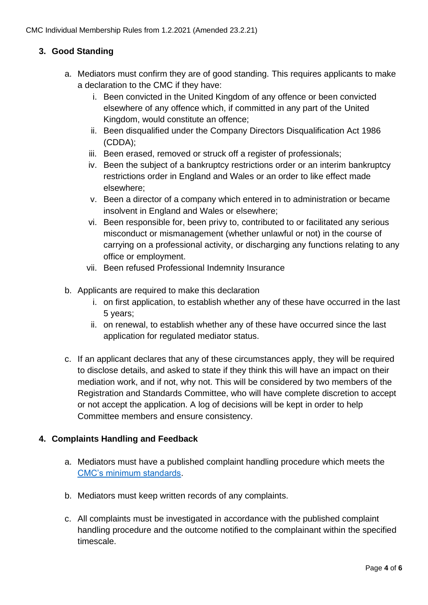# **3. Good Standing**

- a. Mediators must confirm they are of good standing. This requires applicants to make a declaration to the CMC if they have:
	- i. Been convicted in the United Kingdom of any offence or been convicted elsewhere of any offence which, if committed in any part of the United Kingdom, would constitute an offence;
	- ii. Been disqualified under the Company Directors Disqualification Act 1986 (CDDA);
	- iii. Been erased, removed or struck off a register of professionals;
	- iv. Been the subject of a bankruptcy restrictions order or an interim bankruptcy restrictions order in England and Wales or an order to like effect made elsewhere;
	- v. Been a director of a company which entered in to administration or became insolvent in England and Wales or elsewhere;
	- vi. Been responsible for, been privy to, contributed to or facilitated any serious misconduct or mismanagement (whether unlawful or not) in the course of carrying on a professional activity, or discharging any functions relating to any office or employment.
	- vii. Been refused Professional Indemnity Insurance
- b. Applicants are required to make this declaration
	- i. on first application, to establish whether any of these have occurred in the last 5 years;
	- ii. on renewal, to establish whether any of these have occurred since the last application for regulated mediator status.
- c. If an applicant declares that any of these circumstances apply, they will be required to disclose details, and asked to state if they think this will have an impact on their mediation work, and if not, why not. This will be considered by two members of the Registration and Standards Committee, who will have complete discretion to accept or not accept the application. A log of decisions will be kept in order to help Committee members and ensure consistency.

## **4. Complaints Handling and Feedback**

- a. Mediators must have a published complaint handling procedure which meets the [CMC's minimum standards.](http://civilmediation.org/wp-content/uploads/2021/01/CMC-Minimum-Standards-for-Complaints-Procedures-1.2.2021.pdf)
- b. Mediators must keep written records of any complaints.
- c. All complaints must be investigated in accordance with the published complaint handling procedure and the outcome notified to the complainant within the specified timescale.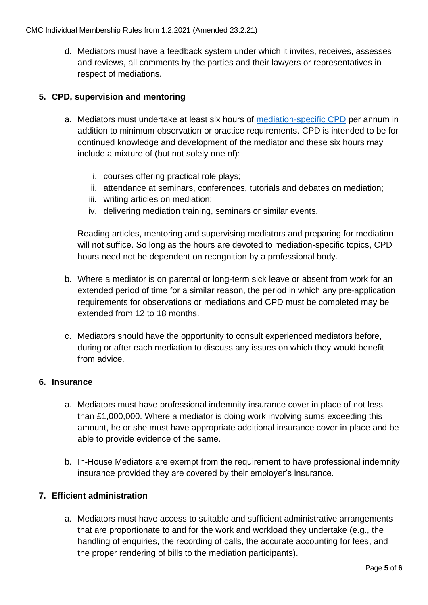d. Mediators must have a feedback system under which it invites, receives, assesses and reviews, all comments by the parties and their lawyers or representatives in respect of mediations.

# **5. CPD, supervision and mentoring**

- a. Mediators must undertake at least six hours of [mediation-specific CPD](http://civilmediation.org/wp-content/uploads/2021/01/CMC-CPD-Guidance-1.2.2021.pdf) per annum in addition to minimum observation or practice requirements. CPD is intended to be for continued knowledge and development of the mediator and these six hours may include a mixture of (but not solely one of):
	- i. courses offering practical role plays;
	- ii. attendance at seminars, conferences, tutorials and debates on mediation;
	- iii. writing articles on mediation;
	- iv. delivering mediation training, seminars or similar events.

Reading articles, mentoring and supervising mediators and preparing for mediation will not suffice. So long as the hours are devoted to mediation-specific topics, CPD hours need not be dependent on recognition by a professional body.

- b. Where a mediator is on parental or long-term sick leave or absent from work for an extended period of time for a similar reason, the period in which any pre-application requirements for observations or mediations and CPD must be completed may be extended from 12 to 18 months.
- c. Mediators should have the opportunity to consult experienced mediators before, during or after each mediation to discuss any issues on which they would benefit from advice.

## **6. Insurance**

- a. Mediators must have professional indemnity insurance cover in place of not less than £1,000,000. Where a mediator is doing work involving sums exceeding this amount, he or she must have appropriate additional insurance cover in place and be able to provide evidence of the same.
- b. In-House Mediators are exempt from the requirement to have professional indemnity insurance provided they are covered by their employer's insurance.

## **7. Efficient administration**

a. Mediators must have access to suitable and sufficient administrative arrangements that are proportionate to and for the work and workload they undertake (e.g., the handling of enquiries, the recording of calls, the accurate accounting for fees, and the proper rendering of bills to the mediation participants).